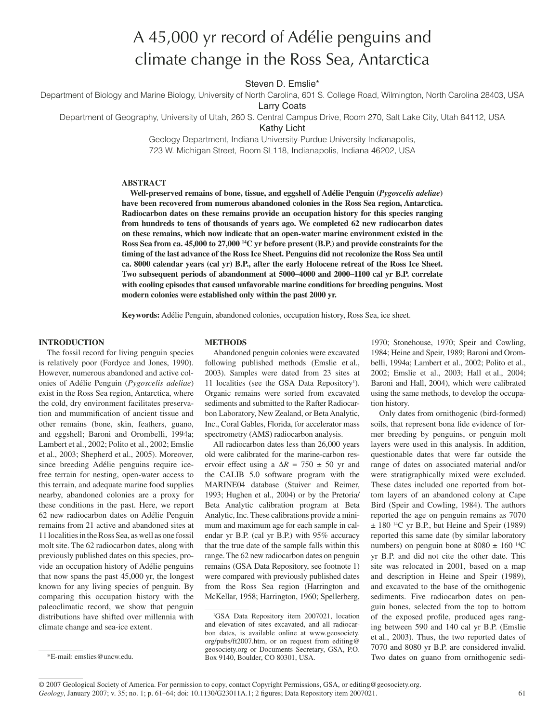# A 45,000 yr record of Adélie penguins and climate change in the Ross Sea, Antarctica

Steven D. Emslie\*

Department of Biology and Marine Biology, University of North Carolina, 601 S. College Road, Wilmington, North Carolina 28403, USA

Larry Coats

Department of Geography, University of Utah, 260 S. Central Campus Drive, Room 270, Salt Lake City, Utah 84112, USA

Kathy Licht

Geology Department, Indiana University-Purdue University Indianapolis, 723 W. Michigan Street, Room SL118, Indianapolis, Indiana 46202, USA

#### **ABSTRACT**

**Well-preserved remains of bone, tissue, and eggshell of Adélie Penguin (***Pygoscelis adeliae***) have been recovered from numerous abandoned colonies in the Ross Sea region, Antarctica. Radiocarbon dates on these remains provide an occupation history for this species ranging from hundreds to tens of thousands of years ago. We completed 62 new radiocarbon dates on these remains, which now indicate that an open-water marine environment existed in the Ross Sea from ca. 45,000 to 27,000 14C yr before present (B.P.) and provide constraints for the timing of the last advance of the Ross Ice Sheet. Penguins did not recolonize the Ross Sea until ca. 8000 calendar years (cal yr) B.P., after the early Holocene retreat of the Ross Ice Sheet. Two subsequent periods of abandonment at 5000–4000 and 2000–1100 cal yr B.P. correlate with cooling episodes that caused unfavorable marine conditions for breeding penguins. Most modern colonies were established only within the past 2000 yr.**

**Keywords:** Adélie Penguin, abandoned colonies, occupation history, Ross Sea, ice sheet.

### **INTRODUCTION**

The fossil record for living penguin species is relatively poor (Fordyce and Jones, 1990). However, numerous abandoned and active colonies of Adélie Penguin (*Pygoscelis adeliae*) exist in the Ross Sea region, Antarctica, where the cold, dry environment facilitates preservation and mummification of ancient tissue and other remains (bone, skin, feathers, guano, and eggshell; Baroni and Orombelli, 1994a; Lambert et al., 2002; Polito et al., 2002; Emslie et al., 2003; Shepherd et al., 2005). Moreover, since breeding Adélie penguins require icefree terrain for nesting, open-water access to this terrain, and adequate marine food supplies nearby, abandoned colonies are a proxy for these conditions in the past. Here, we report 62 new radiocarbon dates on Adélie Penguin remains from 21 active and abandoned sites at 11 localities in the Ross Sea, as well as one fossil molt site. The 62 radiocarbon dates, along with previously published dates on this species, provide an occupation history of Adélie penguins that now spans the past 45,000 yr, the longest known for any living species of penguin. By comparing this occupation history with the paleoclimatic record, we show that penguin distributions have shifted over millennia with climate change and sea-ice extent.

## **METHODS**

Abandoned penguin colonies were excavated following published methods (Emslie et al., 2003). Samples were dated from 23 sites at 11 localities (see the GSA Data Repository<sup>1</sup>). Organic remains were sorted from excavated sediments and submitted to the Rafter Radiocarbon Laboratory, New Zealand, or Beta Analytic, Inc., Coral Gables, Florida, for accelerator mass spectrometry (AMS) radiocarbon analysis.

All radiocarbon dates less than 26,000 years old were calibrated for the marine-carbon reservoir effect using a  $\Delta R = 750 \pm 50$  yr and the CALIB 5.0 software program with the MARINE04 database (Stuiver and Reimer, 1993; Hughen et al., 2004) or by the Pretoria/ Beta Analytic calibration program at Beta Analytic, Inc. These calibrations provide a minimum and maximum age for each sample in calendar yr B.P. (cal yr B.P.) with 95% accuracy that the true date of the sample falls within this range. The 62 new radiocarbon dates on penguin remains (GSA Data Repository, see footnote 1) were compared with previously published dates from the Ross Sea region (Harrington and McKellar, 1958; Harrington, 1960; Spellerberg, 1970; Stonehouse, 1970; Speir and Cowling, 1984; Heine and Speir, 1989; Baroni and Orombelli, 1994a; Lambert et al., 2002; Polito et al., 2002; Emslie et al., 2003; Hall et al., 2004; Baroni and Hall, 2004), which were calibrated using the same methods, to develop the occupation history.

Only dates from ornithogenic (bird-formed) soils, that represent bona fide evidence of former breeding by penguins, or penguin molt layers were used in this analysis. In addition, questionable dates that were far outside the range of dates on associated material and/or were stratigraphically mixed were excluded. These dates included one reported from bottom layers of an abandoned colony at Cape Bird (Speir and Cowling, 1984). The authors reported the age on penguin remains as 7070  $\pm$  180<sup>-14</sup>C yr B.P., but Heine and Speir (1989) reported this same date (by similar laboratory numbers) on penguin bone at  $8080 \pm 160$  <sup>14</sup>C yr B.P. and did not cite the other date. This site was relocated in 2001, based on a map and description in Heine and Speir (1989), and excavated to the base of the ornithogenic sediments. Five radiocarbon dates on penguin bones, selected from the top to bottom of the exposed profile, produced ages ranging between 590 and 140 cal yr B.P. (Emslie et al., 2003). Thus, the two reported dates of 7070 and 8080 yr B.P. are considered invalid.

<sup>1</sup> GSA Data Repository item 2007021, location and elevation of sites excavated, and all radiocarbon dates, is available online at www.geosociety. org/pubs/ft2007.htm, or on request from editing@ geosociety.org or Documents Secretary, GSA, P.O. Box 9140, Boulder, CO 80301, USA. \*E-mail: emslies@uncw.edu. Two dates on guano from ornithogenic sedi-

*Geology*, January 2007; v. 35; no. 1; p. 61–64; doi: 10.1130/G23011A.1; 2 figures; Data Repository item 2007021. 61 © 2007 Geological Society of America. For permission to copy, contact Copyright Permissions, GSA, or editing@geosociety.org.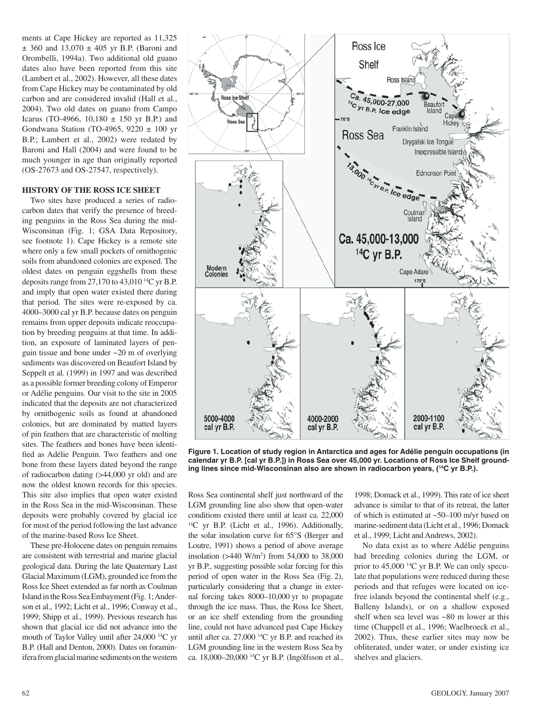ments at Cape Hickey are reported as 11,325  $± 360$  and  $13,070 ± 405$  yr B.P. (Baroni and Orombelli, 1994a). Two additional old guano dates also have been reported from this site (Lambert et al., 2002). However, all these dates from Cape Hickey may be contaminated by old carbon and are considered invalid (Hall et al., 2004). Two old dates on guano from Campo Icarus (TO-4966,  $10,180 \pm 150$  yr B.P.) and Gondwana Station (TO-4965, 9220 ± 100 yr B.P.; Lambert et al., 2002) were redated by Baroni and Hall (2004) and were found to be much younger in age than originally reported (OS-27673 and OS-27547, respectively).

### **HISTORY OF THE ROSS ICE SHEET**

Two sites have produced a series of radiocarbon dates that verify the presence of breeding penguins in the Ross Sea during the mid- Wisconsinan (Fig. 1; GSA Data Repository, see footnote 1). Cape Hickey is a remote site where only a few small pockets of ornithogenic soils from abandoned colonies are exposed. The oldest dates on penguin eggshells from these deposits range from 27,170 to 43,010 14C yr B.P. and imply that open water existed there during that period. The sites were re-exposed by ca. 4000–3000 cal yr B.P. because dates on penguin remains from upper deposits indicate reoccupation by breeding penguins at that time. In addition, an exposure of laminated layers of penguin tissue and bone under ~20 m of overlying sediments was discovered on Beaufort Island by Seppelt et al. (1999) in 1997 and was described as a possible former breeding colony of Emperor or Adélie penguins. Our visit to the site in 2005 indicated that the deposits are not characterized by ornithogenic soils as found at abandoned colonies, but are dominated by matted layers of pin feathers that are characteristic of molting sites. The feathers and bones have been identified as Adélie Penguin. Two feathers and one bone from these layers dated beyond the range of radiocarbon dating (>44,000 yr old) and are now the oldest known records for this species. This site also implies that open water existed in the Ross Sea in the mid-Wisconsinan. These deposits were probably covered by glacial ice for most of the period following the last advance of the marine-based Ross Ice Sheet.

These pre-Holocene dates on penguin remains are consistent with terrestrial and marine glacial geological data. During the late Quaternary Last Glacial Maximum (LGM), grounded ice from the Ross Ice Sheet extended as far north as Coulman Island in the Ross Sea Embayment (Fig. 1; Anderson et al., 1992; Licht et al., 1996; Conway et al., 1999; Shipp et al., 1999). Previous research has shown that glacial ice did not advance into the mouth of Taylor Valley until after 24,000 14C yr B.P. (Hall and Denton, 2000). Dates on foraminifera from glacial marine sediments on the western



**Figure 1. Location of study region in Antarctica and ages for Adélie penguin occupations (in calendar yr B.P. [cal yr B.P.]) in Ross Sea over 45,000 yr. Locations of Ross Ice Shelf grounding lines since mid-Wisconsinan also are shown in radiocarbon years, (14C yr B.P.).**

Ross Sea continental shelf just northward of the LGM grounding line also show that open-water conditions existed there until at least ca. 22,000 <sup>14</sup>C yr B.P. (Licht et al., 1996). Additionally, the solar insolation curve for 65°S (Berger and Loutre, 1991) shows a period of above average insolation (>440 W/m2 ) from 54,000 to 38,000 yr B.P., suggesting possible solar forcing for this period of open water in the Ross Sea (Fig. 2), particularly considering that a change in external forcing takes 8000–10,000 yr to propagate through the ice mass. Thus, the Ross Ice Sheet, or an ice shelf extending from the grounding line, could not have advanced past Cape Hickey until after ca. 27,000 14C yr B.P. and reached its LGM grounding line in the western Ross Sea by ca. 18,000–20,000 14C yr B.P. (Ingólfsson et al.,

1998; Domack et al., 1999). This rate of ice sheet advance is similar to that of its retreat, the latter of which is estimated at ~50–100 m/yr based on marine-sediment data (Licht et al., 1996; Domack et al., 1999; Licht and Andrews, 2002).

No data exist as to where Adélie penguins had breeding colonies during the LGM, or prior to 45,000 14C yr B.P. We can only speculate that populations were reduced during these periods and that refuges were located on icefree islands beyond the continental shelf (e.g., Balleny Islands), or on a shallow exposed shelf when sea level was ~80 m lower at this time (Chappell et al., 1996; Waelbroeck et al., 2002). Thus, these earlier sites may now be obliterated, under water, or under existing ice shelves and glaciers.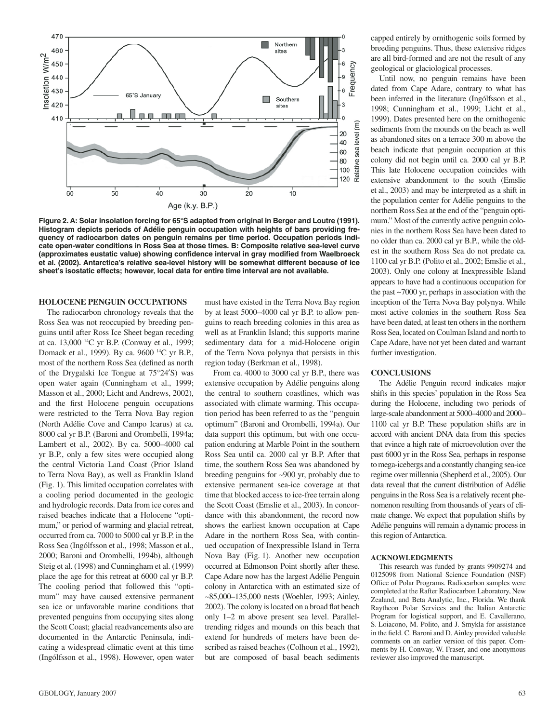

**Figure 2. A: Solar insolation forcing for 65°S adapted from original in Berger and Loutre (1991). Histogram depicts periods of Adélie penguin occupation with heights of bars providing frequency of radiocarbon dates on penguin remains per time period. Occupation periods indicate open-water conditions in Ross Sea at those times. B: Composite relative sea-level curve**  (approximates eustatic value) showing confidence interval in gray modified from Waelbroeck **et al. (2002). Antarctica's relative sea-level history will be somewhat different because of ice sheet's isostatic effects; however, local data for entire time interval are not available.**

## **HOLOCENE PENGUIN OCCUPATIONS**

The radiocarbon chronology reveals that the Ross Sea was not reoccupied by breeding penguins until after Ross Ice Sheet began receding at ca. 13,000 14C yr B.P. (Conway et al., 1999; Domack et al., 1999). By ca. 9600 14C yr B.P., most of the northern Ross Sea (defined as north of the Drygalski Ice Tongue at 75°24′S) was open water again (Cunningham et al., 1999; Masson et al., 2000; Licht and Andrews, 2002), and the first Holocene penguin occupations were restricted to the Terra Nova Bay region (North Adélie Cove and Campo Icarus) at ca. 8000 cal yr B.P. (Baroni and Orombelli, 1994a; Lambert et al., 2002). By ca. 5000–4000 cal yr B.P., only a few sites were occupied along the central Victoria Land Coast (Prior Island to Terra Nova Bay), as well as Franklin Island (Fig. 1). This limited occupation correlates with a cooling period documented in the geologic and hydrologic records. Data from ice cores and raised beaches indicate that a Holocene "optimum," or period of warming and glacial retreat, occurred from ca. 7000 to 5000 cal yr B.P. in the Ross Sea (Ingólfsson et al., 1998; Masson et al., 2000; Baroni and Orombelli, 1994b), although Steig et al. (1998) and Cunningham et al. (1999) place the age for this retreat at 6000 cal yr B.P. The cooling period that followed this "optimum" may have caused extensive permanent sea ice or unfavorable marine conditions that prevented penguins from occupying sites along the Scott Coast; glacial readvancements also are documented in the Antarctic Peninsula, indicating a widespread climatic event at this time (Ingólfsson et al., 1998). However, open water

must have existed in the Terra Nova Bay region by at least 5000–4000 cal yr B.P. to allow penguins to reach breeding colonies in this area as well as at Franklin Island; this supports marine sedimentary data for a mid-Holocene origin of the Terra Nova polynya that persists in this region today (Berkman et al., 1998).

From ca. 4000 to 3000 cal yr B.P., there was extensive occupation by Adélie penguins along the central to southern coastlines, which was associated with climate warming. This occupation period has been referred to as the "penguin optimum" (Baroni and Orombelli, 1994a). Our data support this optimum, but with one occupation enduring at Marble Point in the southern Ross Sea until ca. 2000 cal yr B.P. After that time, the southern Ross Sea was abandoned by breeding penguins for ~900 yr, probably due to extensive permanent sea-ice coverage at that time that blocked access to ice-free terrain along the Scott Coast (Emslie et al., 2003). In concordance with this abandonment, the record now shows the earliest known occupation at Cape Adare in the northern Ross Sea, with continued occupation of Inexpressible Island in Terra Nova Bay (Fig. 1). Another new occupation occurred at Edmonson Point shortly after these. Cape Adare now has the largest Adélie Penguin colony in Antarctica with an estimated size of ~85,000–135,000 nests (Woehler, 1993; Ainley, 2002). The colony is located on a broad flat beach only 1–2 m above present sea level. Paralleltrending ridges and mounds on this beach that extend for hundreds of meters have been described as raised beaches (Colhoun et al., 1992), but are composed of basal beach sediments

capped entirely by ornithogenic soils formed by breeding penguins. Thus, these extensive ridges are all bird-formed and are not the result of any geological or glaciological processes.

Until now, no penguin remains have been dated from Cape Adare, contrary to what has been inferred in the literature (Ingólfsson et al., 1998; Cunningham et al., 1999; Licht et al., 1999). Dates presented here on the ornithogenic sediments from the mounds on the beach as well as abandoned sites on a terrace 300 m above the beach indicate that penguin occupation at this colony did not begin until ca. 2000 cal yr B.P. This late Holocene occupation coincides with extensive abandonment to the south (Emslie et al., 2003) and may be interpreted as a shift in the population center for Adélie penguins to the northern Ross Sea at the end of the "penguin optimum." Most of the currently active penguin colonies in the northern Ross Sea have been dated to no older than ca. 2000 cal yr B.P., while the oldest in the southern Ross Sea do not predate ca. 1100 cal yr B.P. (Polito et al., 2002; Emslie et al., 2003). Only one colony at Inexpressible Island appears to have had a continuous occupation for the past ~7000 yr, perhaps in association with the inception of the Terra Nova Bay polynya. While most active colonies in the southern Ross Sea have been dated, at least ten others in the northern Ross Sea, located on Coulman Island and north to Cape Adare, have not yet been dated and warrant further investigation.

#### **CONCLUSIONS**

The Adélie Penguin record indicates major shifts in this species' population in the Ross Sea during the Holocene, including two periods of large-scale abandonment at 5000–4000 and 2000– 1100 cal yr B.P. These population shifts are in accord with ancient DNA data from this species that evince a high rate of microevolution over the past 6000 yr in the Ross Sea, perhaps in response to mega- icebergs and a constantly changing sea-ice regime over millennia (Shepherd et al., 2005). Our data reveal that the current distribution of Adélie penguins in the Ross Sea is a relatively recent phenomenon resulting from thousands of years of climate change. We expect that population shifts by Adélie penguins will remain a dynamic process in this region of Antarctica.

#### **ACKNOWLEDGMENTS**

This research was funded by grants 9909274 and 0125098 from National Science Foundation (NSF) Office of Polar Programs. Radiocarbon samples were completed at the Rafter Radiocarbon Laboratory, New Zealand, and Beta Analytic, Inc., Florida. We thank Raytheon Polar Services and the Italian Antarctic Program for logistical support, and E. Cavallerano, S. Loiacono, M. Polito, and J. Smykla for assistance in the field. C. Baroni and D. Ainley provided valuable comments on an earlier version of this paper. Comments by H. Conway, W. Fraser, and one anonymous reviewer also improved the manuscript.